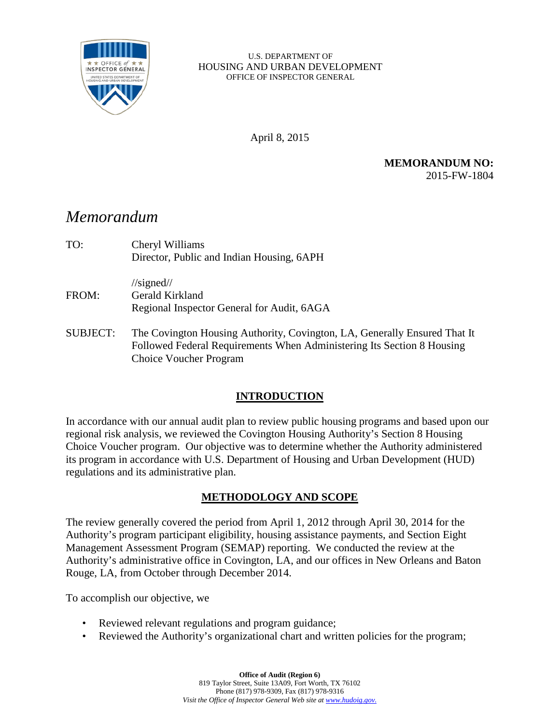

#### U.S. DEPARTMENT OF HOUSING AND URBAN DEVELOPMENT OFFICE OF INSPECTOR GENERAL

April 8, 2015

**MEMORANDUM NO:** 2015-FW-1804

## *Memorandum*

| TO:   | Cheryl Williams<br>Director, Public and Indian Housing, 6APH                          |  |
|-------|---------------------------------------------------------------------------------------|--|
| FROM: | $\frac{\sqrt{3}}{2}$<br>Gerald Kirkland<br>Regional Inspector General for Audit, 6AGA |  |

SUBJECT: The Covington Housing Authority, Covington, LA, Generally Ensured That It Followed Federal Requirements When Administering Its Section 8 Housing Choice Voucher Program

### **INTRODUCTION**

In accordance with our annual audit plan to review public housing programs and based upon our regional risk analysis, we reviewed the Covington Housing Authority's Section 8 Housing Choice Voucher program. Our objective was to determine whether the Authority administered its program in accordance with U.S. Department of Housing and Urban Development (HUD) regulations and its administrative plan.

### **METHODOLOGY AND SCOPE**

The review generally covered the period from April 1, 2012 through April 30, 2014 for the Authority's program participant eligibility, housing assistance payments, and Section Eight Management Assessment Program (SEMAP) reporting. We conducted the review at the Authority's administrative office in Covington, LA, and our offices in New Orleans and Baton Rouge, LA, from October through December 2014.

To accomplish our objective, we

- Reviewed relevant regulations and program guidance;
- Reviewed the Authority's organizational chart and written policies for the program;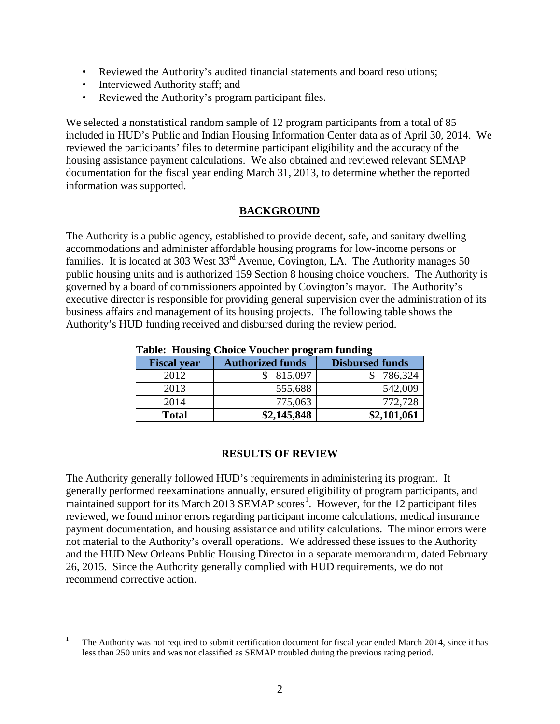- Reviewed the Authority's audited financial statements and board resolutions;
- Interviewed Authority staff; and
- Reviewed the Authority's program participant files.

We selected a nonstatistical random sample of 12 program participants from a total of 85 included in HUD's Public and Indian Housing Information Center data as of April 30, 2014. We reviewed the participants' files to determine participant eligibility and the accuracy of the housing assistance payment calculations. We also obtained and reviewed relevant SEMAP documentation for the fiscal year ending March 31, 2013, to determine whether the reported information was supported.

#### **BACKGROUND**

The Authority is a public agency, established to provide decent, safe, and sanitary dwelling accommodations and administer affordable housing programs for low-income persons or families. It is located at 303 West  $33<sup>rd</sup>$  Avenue, Covington, LA. The Authority manages 50 public housing units and is authorized 159 Section 8 housing choice vouchers. The Authority is governed by a board of commissioners appointed by Covington's mayor. The Authority's executive director is responsible for providing general supervision over the administration of its business affairs and management of its housing projects. The following table shows the Authority's HUD funding received and disbursed during the review period.

| Table. Housing Choice Voucher program funding |                         |                        |  |
|-----------------------------------------------|-------------------------|------------------------|--|
| <b>Fiscal year</b>                            | <b>Authorized funds</b> | <b>Disbursed funds</b> |  |
| 2012                                          | 815,097                 | 786,324                |  |
| 2013                                          | 555,688                 | 542,009                |  |
| 2014                                          | 775,063                 | 772,728                |  |
| <b>Total</b>                                  | \$2,145,848             | \$2,101,061            |  |

#### **Table: Housing Choice Voucher program funding**

#### **RESULTS OF REVIEW**

The Authority generally followed HUD's requirements in administering its program. It generally performed reexaminations annually, ensured eligibility of program participants, and maintained support for its March 20[1](#page-1-0)3 SEMAP scores<sup>1</sup>. However, for the 12 participant files reviewed, we found minor errors regarding participant income calculations, medical insurance payment documentation, and housing assistance and utility calculations. The minor errors were not material to the Authority's overall operations. We addressed these issues to the Authority and the HUD New Orleans Public Housing Director in a separate memorandum, dated February 26, 2015. Since the Authority generally complied with HUD requirements, we do not recommend corrective action.

<span id="page-1-0"></span><sup>&</sup>lt;sup>1</sup> The Authority was not required to submit certification document for fiscal year ended March 2014, since it has less than 250 units and was not classified as SEMAP troubled during the previous rating period.